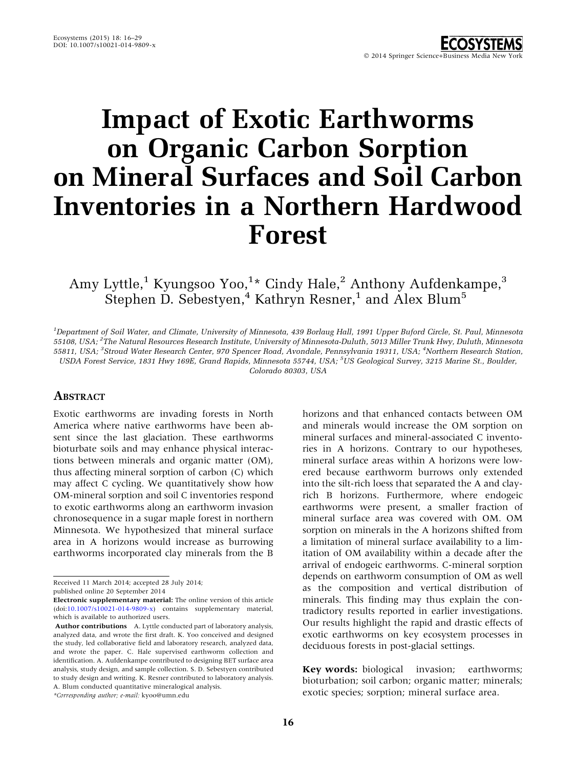# Impact of Exotic Earthworms on Organic Carbon Sorption on Mineral Surfaces and Soil Carbon Inventories in a Northern Hardwood Forest

Amy Lyttle,<sup>1</sup> Kyungsoo Yoo,<sup>1</sup>\* Cindy Hale,<sup>2</sup> Anthony Aufdenkampe,<sup>3</sup> Stephen D. Sebestyen,<sup>4</sup> Kathryn Resner,<sup>1</sup> and Alex Blum<sup>5</sup>

1 Department of Soil Water, and Climate, University of Minnesota, 439 Borlaug Hall, 1991 Upper Buford Circle, St. Paul, Minnesota 55108, USA; <sup>2</sup>The Natural Resources Research Institute, University of Minnesota-Duluth, 5013 Miller Trunk Hwy, Duluth, Minnesota 55811, USA; <sup>3</sup>Stroud Water Research Center, 970 Spencer Road, Avondale, Pennsylvania 19311, USA; <sup>4</sup>Northern Research Station, USDA Forest Service, 1831 Hwy 169E, Grand Rapids, Minnesota 55744, USA; <sup>5</sup>US Geological Survey, 3215 Marine St., Boulder, Colorado 80303, USA

## **ABSTRACT**

Exotic earthworms are invading forests in North America where native earthworms have been absent since the last glaciation. These earthworms bioturbate soils and may enhance physical interactions between minerals and organic matter (OM), thus affecting mineral sorption of carbon (C) which may affect C cycling. We quantitatively show how OM-mineral sorption and soil C inventories respond to exotic earthworms along an earthworm invasion chronosequence in a sugar maple forest in northern Minnesota. We hypothesized that mineral surface area in A horizons would increase as burrowing earthworms incorporated clay minerals from the B

Received 11 March 2014; accepted 28 July 2014; published online 20 September 2014

\*Corresponding author; e-mail: kyoo@umn.edu

horizons and that enhanced contacts between OM and minerals would increase the OM sorption on mineral surfaces and mineral-associated C inventories in A horizons. Contrary to our hypotheses, mineral surface areas within A horizons were lowered because earthworm burrows only extended into the silt-rich loess that separated the A and clayrich B horizons. Furthermore, where endogeic earthworms were present, a smaller fraction of mineral surface area was covered with OM. OM sorption on minerals in the A horizons shifted from a limitation of mineral surface availability to a limitation of OM availability within a decade after the arrival of endogeic earthworms. C-mineral sorption depends on earthworm consumption of OM as well as the composition and vertical distribution of minerals. This finding may thus explain the contradictory results reported in earlier investigations. Our results highlight the rapid and drastic effects of exotic earthworms on key ecosystem processes in deciduous forests in post-glacial settings.

Key words: biological invasion; earthworms; bioturbation; soil carbon; organic matter; minerals; exotic species; sorption; mineral surface area.

Electronic supplementary material: The online version of this article (doi[:10.1007/s10021-014-9809-x\)](http://dx.doi.org/10.1007/s10021-014-9809-x) contains supplementary material, which is available to authorized users.

Author contributions A. Lyttle conducted part of laboratory analysis, analyzed data, and wrote the first draft. K. Yoo conceived and designed the study, led collaborative field and laboratory research, analyzed data, and wrote the paper. C. Hale supervised earthworm collection and identification. A. Aufdenkampe contributed to designing BET surface area analysis, study design, and sample collection. S. D. Sebestyen contributed to study design and writing. K. Resner contributed to laboratory analysis. A. Blum conducted quantitative mineralogical analysis.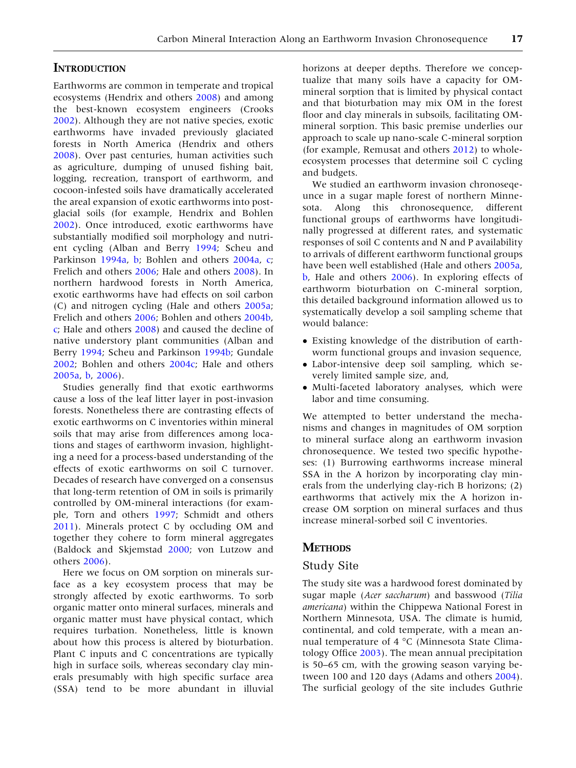#### **INTRODUCTION**

Earthworms are common in temperate and tropical ecosystems (Hendrix and others [2008](#page-13-0)) and among the best-known ecosystem engineers (Crooks [2002\)](#page-12-0). Although they are not native species, exotic earthworms have invaded previously glaciated forests in North America (Hendrix and others [2008\)](#page-13-0). Over past centuries, human activities such as agriculture, dumping of unused fishing bait, logging, recreation, transport of earthworm, and cocoon-infested soils have dramatically accelerated the areal expansion of exotic earthworms into postglacial soils (for example, Hendrix and Bohlen [2002\)](#page-13-0). Once introduced, exotic earthworms have substantially modified soil morphology and nutrient cycling (Alban and Berry [1994;](#page-12-0) Scheu and Parkinson [1994a,](#page-13-0) [b](#page-13-0); Bohlen and others [2004a,](#page-12-0) [c](#page-12-0); Frelich and others [2006](#page-12-0); Hale and others [2008\)](#page-13-0). In northern hardwood forests in North America, exotic earthworms have had effects on soil carbon (C) and nitrogen cycling (Hale and others [2005a](#page-13-0); Frelich and others [2006;](#page-12-0) Bohlen and others [2004b](#page-12-0), [c](#page-12-0); Hale and others [2008](#page-13-0)) and caused the decline of native understory plant communities (Alban and Berry [1994](#page-12-0); Scheu and Parkinson [1994b;](#page-13-0) Gundale [2002;](#page-12-0) Bohlen and others [2004c](#page-12-0); Hale and others [2005a,](#page-13-0) [b](#page-13-0), [2006\)](#page-13-0).

Studies generally find that exotic earthworms cause a loss of the leaf litter layer in post-invasion forests. Nonetheless there are contrasting effects of exotic earthworms on C inventories within mineral soils that may arise from differences among locations and stages of earthworm invasion, highlighting a need for a process-based understanding of the effects of exotic earthworms on soil C turnover. Decades of research have converged on a consensus that long-term retention of OM in soils is primarily controlled by OM-mineral interactions (for example, Torn and others [1997](#page-13-0); Schmidt and others [2011\)](#page-13-0). Minerals protect C by occluding OM and together they cohere to form mineral aggregates (Baldock and Skjemstad [2000](#page-12-0); von Lutzow and others [2006\)](#page-13-0).

Here we focus on OM sorption on minerals surface as a key ecosystem process that may be strongly affected by exotic earthworms. To sorb organic matter onto mineral surfaces, minerals and organic matter must have physical contact, which requires turbation. Nonetheless, little is known about how this process is altered by bioturbation. Plant C inputs and C concentrations are typically high in surface soils, whereas secondary clay minerals presumably with high specific surface area (SSA) tend to be more abundant in illuvial horizons at deeper depths. Therefore we conceptualize that many soils have a capacity for OMmineral sorption that is limited by physical contact and that bioturbation may mix OM in the forest floor and clay minerals in subsoils, facilitating OMmineral sorption. This basic premise underlies our approach to scale up nano-scale C-mineral sorption (for example, Remusat and others [2012\)](#page-13-0) to wholeecosystem processes that determine soil C cycling and budgets.

We studied an earthworm invasion chronoseqeunce in a sugar maple forest of northern Minnesota. Along this chronosequence, different functional groups of earthworms have longitudinally progressed at different rates, and systematic responses of soil C contents and N and P availability to arrivals of different earthworm functional groups have been well established (Hale and others [2005a](#page-13-0), [b](#page-13-0), Hale and others [2006](#page-13-0)). In exploring effects of earthworm bioturbation on C-mineral sorption, this detailed background information allowed us to systematically develop a soil sampling scheme that would balance:

- Existing knowledge of the distribution of earthworm functional groups and invasion sequence,
- Labor-intensive deep soil sampling, which severely limited sample size, and,
- Multi-faceted laboratory analyses, which were labor and time consuming.

We attempted to better understand the mechanisms and changes in magnitudes of OM sorption to mineral surface along an earthworm invasion chronosequence. We tested two specific hypotheses: (1) Burrowing earthworms increase mineral SSA in the A horizon by incorporating clay minerals from the underlying clay-rich B horizons; (2) earthworms that actively mix the A horizon increase OM sorption on mineral surfaces and thus increase mineral-sorbed soil C inventories.

## **METHODS**

## Study Site

The study site was a hardwood forest dominated by sugar maple (Acer saccharum) and basswood (Tilia americana) within the Chippewa National Forest in Northern Minnesota, USA. The climate is humid, continental, and cold temperate, with a mean annual temperature of 4  $^{\circ}$ C (Minnesota State Climatology Office [2003](#page-13-0)). The mean annual precipitation is 50–65 cm, with the growing season varying between 100 and 120 days (Adams and others [2004](#page-12-0)). The surficial geology of the site includes Guthrie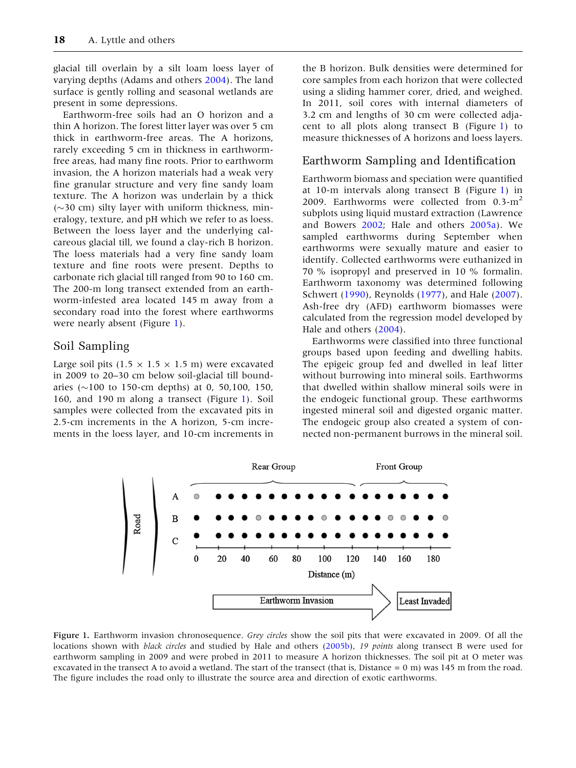glacial till overlain by a silt loam loess layer of varying depths (Adams and others [2004](#page-12-0)). The land surface is gently rolling and seasonal wetlands are present in some depressions.

Earthworm-free soils had an O horizon and a thin A horizon. The forest litter layer was over 5 cm thick in earthworm-free areas. The A horizons, rarely exceeding 5 cm in thickness in earthwormfree areas, had many fine roots. Prior to earthworm invasion, the A horizon materials had a weak very fine granular structure and very fine sandy loam texture. The A horizon was underlain by a thick  $(\sim$ 30 cm) silty layer with uniform thickness, mineralogy, texture, and pH which we refer to as loess. Between the loess layer and the underlying calcareous glacial till, we found a clay-rich B horizon. The loess materials had a very fine sandy loam texture and fine roots were present. Depths to carbonate rich glacial till ranged from 90 to 160 cm. The 200-m long transect extended from an earthworm-infested area located 145 m away from a secondary road into the forest where earthworms were nearly absent (Figure 1).

# Soil Sampling

Large soil pits (1.5  $\times$  1.5  $\times$  1.5 m) were excavated in 2009 to 20–30 cm below soil-glacial till boundaries ( $\sim$ 100 to 150-cm depths) at 0, 50,100, 150, 160, and 190 m along a transect (Figure 1). Soil samples were collected from the excavated pits in 2.5-cm increments in the A horizon, 5-cm increments in the loess layer, and 10-cm increments in the B horizon. Bulk densities were determined for core samples from each horizon that were collected using a sliding hammer corer, dried, and weighed. In 2011, soil cores with internal diameters of 3.2 cm and lengths of 30 cm were collected adjacent to all plots along transect B (Figure 1) to measure thicknesses of A horizons and loess layers.

# Earthworm Sampling and Identification

Earthworm biomass and speciation were quantified at 10-m intervals along transect B (Figure 1) in 2009. Earthworms were collected from  $0.3 \text{--} m^2$ subplots using liquid mustard extraction (Lawrence and Bowers [2002;](#page-13-0) Hale and others [2005a\)](#page-13-0). We sampled earthworms during September when earthworms were sexually mature and easier to identify. Collected earthworms were euthanized in 70 % isopropyl and preserved in 10 % formalin. Earthworm taxonomy was determined following Schwert ([1990\)](#page-13-0), Reynolds [\(1977](#page-13-0)), and Hale [\(2007](#page-13-0)). Ash-free dry (AFD) earthworm biomasses were calculated from the regression model developed by Hale and others [\(2004](#page-13-0)).

Earthworms were classified into three functional groups based upon feeding and dwelling habits. The epigeic group fed and dwelled in leaf litter without burrowing into mineral soils. Earthworms that dwelled within shallow mineral soils were in the endogeic functional group. These earthworms ingested mineral soil and digested organic matter. The endogeic group also created a system of connected non-permanent burrows in the mineral soil.



Figure 1. Earthworm invasion chronosequence. Grey circles show the soil pits that were excavated in 2009. Of all the locations shown with *black circles* and studied by Hale and others ([2005b\)](#page-13-0), 19 points along transect B were used for earthworm sampling in 2009 and were probed in 2011 to measure A horizon thicknesses. The soil pit at O meter was excavated in the transect A to avoid a wetland. The start of the transect (that is, Distance = 0 m) was  $145$  m from the road. The figure includes the road only to illustrate the source area and direction of exotic earthworms.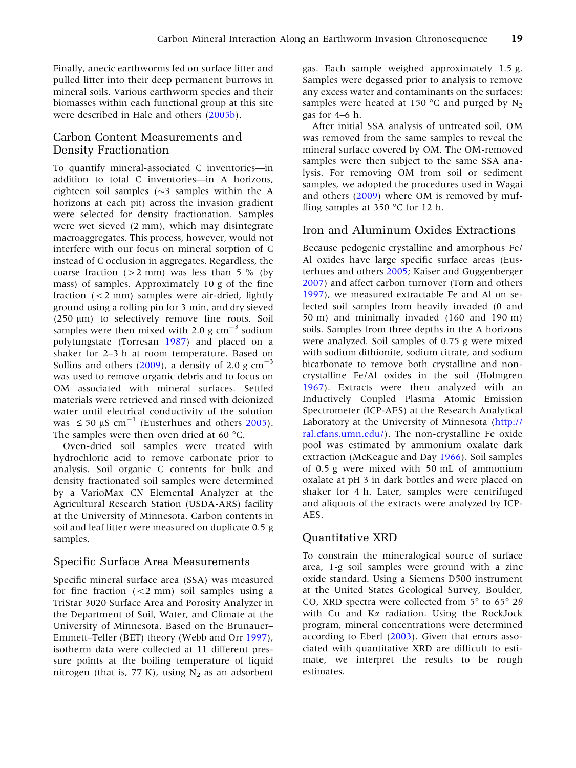Finally, anecic earthworms fed on surface litter and pulled litter into their deep permanent burrows in mineral soils. Various earthworm species and their biomasses within each functional group at this site were described in Hale and others [\(2005b\)](#page-13-0).

## Carbon Content Measurements and Density Fractionation

To quantify mineral-associated C inventories—in addition to total C inventories—in A horizons, eighteen soil samples  $(\sim$ 3 samples within the A horizons at each pit) across the invasion gradient were selected for density fractionation. Samples were wet sieved (2 mm), which may disintegrate macroaggregates. This process, however, would not interfere with our focus on mineral sorption of C instead of C occlusion in aggregates. Regardless, the coarse fraction  $(>2$  mm) was less than 5 % (by mass) of samples. Approximately 10 g of the fine fraction (<2 mm) samples were air-dried, lightly ground using a rolling pin for 3 min, and dry sieved ( $250 \mu m$ ) to selectively remove fine roots. Soil samples were then mixed with 2.0 g  $\text{cm}^{-3}$  sodium polytungstate (Torresan [1987](#page-13-0)) and placed on a shaker for 2–3 h at room temperature. Based on Sollins and others  $(2009)$  $(2009)$ , a density of 2.0 g cm<sup>-3</sup> was used to remove organic debris and to focus on OM associated with mineral surfaces. Settled materials were retrieved and rinsed with deionized water until electrical conductivity of the solution was  $\leq 50 \mu S \text{ cm}^{-1}$  (Eusterhues and others [2005](#page-12-0)). The samples were then oven dried at 60  $^{\circ}$ C.

Oven-dried soil samples were treated with hydrochloric acid to remove carbonate prior to analysis. Soil organic C contents for bulk and density fractionated soil samples were determined by a VarioMax CN Elemental Analyzer at the Agricultural Research Station (USDA-ARS) facility at the University of Minnesota. Carbon contents in soil and leaf litter were measured on duplicate 0.5 g samples.

#### Specific Surface Area Measurements

Specific mineral surface area (SSA) was measured for fine fraction  $(< 2$  mm) soil samples using a TriStar 3020 Surface Area and Porosity Analyzer in the Department of Soil, Water, and Climate at the University of Minnesota. Based on the Brunauer– Emmett–Teller (BET) theory (Webb and Orr [1997](#page-13-0)), isotherm data were collected at 11 different pressure points at the boiling temperature of liquid nitrogen (that is, 77 K), using  $N_2$  as an adsorbent

gas. Each sample weighed approximately 1.5 g. Samples were degassed prior to analysis to remove any excess water and contaminants on the surfaces: samples were heated at 150  $^{\circ}$ C and purged by N<sub>2</sub> gas for 4–6 h.

After initial SSA analysis of untreated soil, OM was removed from the same samples to reveal the mineral surface covered by OM. The OM-removed samples were then subject to the same SSA analysis. For removing OM from soil or sediment samples, we adopted the procedures used in Wagai and others [\(2009](#page-13-0)) where OM is removed by muffling samples at 350  $\degree$ C for 12 h.

#### Iron and Aluminum Oxides Extractions

Because pedogenic crystalline and amorphous Fe/ Al oxides have large specific surface areas (Eusterhues and others [2005;](#page-12-0) Kaiser and Guggenberger [2007\)](#page-13-0) and affect carbon turnover (Torn and others [1997\)](#page-13-0), we measured extractable Fe and Al on selected soil samples from heavily invaded (0 and 50 m) and minimally invaded (160 and 190 m) soils. Samples from three depths in the A horizons were analyzed. Soil samples of 0.75 g were mixed with sodium dithionite, sodium citrate, and sodium bicarbonate to remove both crystalline and noncrystalline Fe/Al oxides in the soil (Holmgren [1967\)](#page-13-0). Extracts were then analyzed with an Inductively Coupled Plasma Atomic Emission Spectrometer (ICP-AES) at the Research Analytical Laboratory at the University of Minnesota [\(http://](http://ral.cfans.umn.edu/) [ral.cfans.umn.edu/](http://ral.cfans.umn.edu/)). The non-crystalline Fe oxide pool was estimated by ammonium oxalate dark extraction (McKeague and Day [1966](#page-13-0)). Soil samples of 0.5 g were mixed with 50 mL of ammonium oxalate at pH 3 in dark bottles and were placed on shaker for 4 h. Later, samples were centrifuged and aliquots of the extracts were analyzed by ICP-AES.

#### Quantitative XRD

To constrain the mineralogical source of surface area, 1-g soil samples were ground with a zinc oxide standard. Using a Siemens D500 instrument at the United States Geological Survey, Boulder, CO, XRD spectra were collected from  $5^{\circ}$  to  $65^{\circ}$   $2\theta$ with Cu and K<sub>a</sub> radiation. Using the RockJock program, mineral concentrations were determined according to Eberl [\(2003](#page-12-0)). Given that errors associated with quantitative XRD are difficult to estimate, we interpret the results to be rough estimates.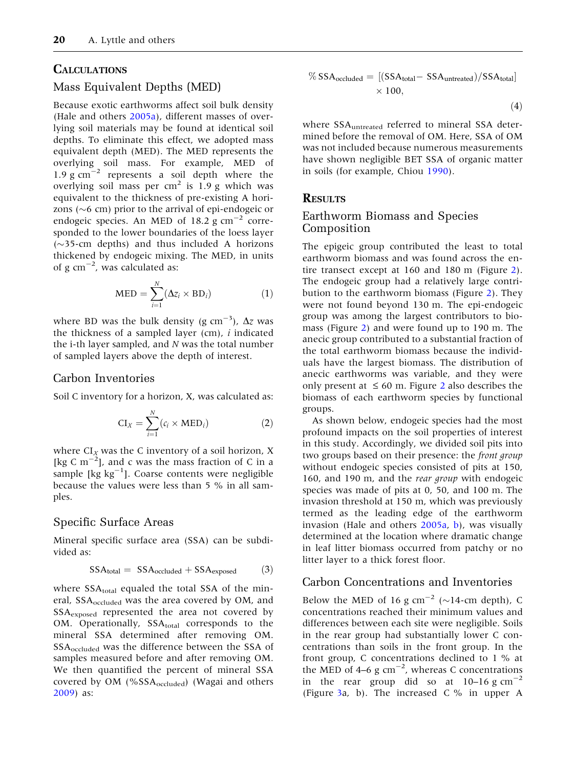#### **CALCULATIONS**

#### Mass Equivalent Depths (MED)

Because exotic earthworms affect soil bulk density (Hale and others [2005a\)](#page-13-0), different masses of overlying soil materials may be found at identical soil depths. To eliminate this effect, we adopted mass equivalent depth (MED). The MED represents the overlying soil mass. For example, MED of  $1.9 \text{ g cm}^{-2}$  represents a soil depth where the overlying soil mass per  $cm<sup>2</sup>$  is 1.9 g which was equivalent to the thickness of pre-existing A horizons ( $\sim$ 6 cm) prior to the arrival of epi-endogeic or endogeic species. An MED of 18.2 g  $\text{cm}^{-2}$  corresponded to the lower boundaries of the loess layer  $(\sim$ 35-cm depths) and thus included A horizons thickened by endogeic mixing. The MED, in units of g  $\text{cm}^{-2}$ , was calculated as:

$$
MED = \sum_{i=1}^{N} (\Delta z_i \times BD_i)
$$
 (1)

where BD was the bulk density (g  $cm^{-3}$ ),  $\Delta z$  was the thickness of a sampled layer (cm),  $i$  indicated the i-th layer sampled, and N was the total number of sampled layers above the depth of interest.

#### Carbon Inventories

Soil C inventory for a horizon, X, was calculated as:

$$
CI_X = \sum_{i=1}^{N} (c_i \times \text{MED}_i)
$$
 (2)

where  $CI_X$  was the C inventory of a soil horizon, X [kg C  $m^{-2}$ ], and c was the mass fraction of C in a sample [ $kg$  kg<sup>-1</sup>]. Coarse contents were negligible because the values were less than 5 % in all samples.

## Specific Surface Areas

Mineral specific surface area (SSA) can be subdivided as:

$$
SSA_{total} = SSA_{occluded} + SSA_{exposed}
$$
 (3)

where  $SSA<sub>total</sub>$  equaled the total SSA of the mineral,  $SSA_{\text{occluded}}$  was the area covered by OM, and SSAexposed represented the area not covered by OM. Operationally, SSA<sub>total</sub> corresponds to the mineral SSA determined after removing OM. SSAoccluded was the difference between the SSA of samples measured before and after removing OM. We then quantified the percent of mineral SSA covered by OM (%SSAoccluded) (Wagai and others [2009\)](#page-13-0) as:

$$
\% SSA_{occluded} = [(SSA_{total} - SSA_{untreated})/SSA_{total}]
$$
  

$$
\times 100,
$$

$$
^{(4)}
$$

where  $SSA<sub>untreated</sub>$  referred to mineral SSA determined before the removal of OM. Here, SSA of OM was not included because numerous measurements have shown negligible BET SSA of organic matter in soils (for example, Chiou [1990](#page-12-0)).

#### **RESULTS**

# Earthworm Biomass and Species Composition

The epigeic group contributed the least to total earthworm biomass and was found across the entire transect except at 160 and 180 m (Figure [2](#page-5-0)). The endogeic group had a relatively large contribution to the earthworm biomass (Figure [2](#page-5-0)). They were not found beyond 130 m. The epi-endogeic group was among the largest contributors to biomass (Figure [2\)](#page-5-0) and were found up to 190 m. The anecic group contributed to a substantial fraction of the total earthworm biomass because the individuals have the largest biomass. The distribution of anecic earthworms was variable, and they were only present at  $\leq 60$  m. Figure [2](#page-5-0) also describes the biomass of each earthworm species by functional groups.

As shown below, endogeic species had the most profound impacts on the soil properties of interest in this study. Accordingly, we divided soil pits into two groups based on their presence: the front group without endogeic species consisted of pits at 150, 160, and 190 m, and the *rear group* with endogeic species was made of pits at 0, 50, and 100 m. The invasion threshold at 150 m, which was previously termed as the leading edge of the earthworm invasion (Hale and others [2005a,](#page-13-0) [b](#page-13-0)), was visually determined at the location where dramatic change in leaf litter biomass occurred from patchy or no litter layer to a thick forest floor.

## Carbon Concentrations and Inventories

Below the MED of 16 g cm<sup>-2</sup> ( $\sim$ 14-cm depth), C concentrations reached their minimum values and differences between each site were negligible. Soils in the rear group had substantially lower C concentrations than soils in the front group. In the front group, C concentrations declined to 1 % at the MED of 4–6 g  $\text{cm}^{-2}$ , whereas C concentrations in the rear group did so at  $10-16$  g  $cm^{-2}$ (Figure [3a](#page-6-0), b). The increased C % in upper A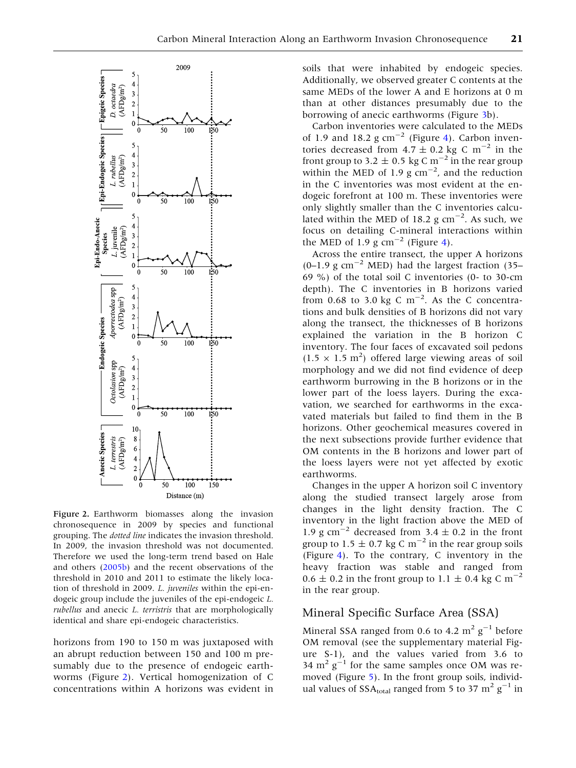<span id="page-5-0"></span>

Figure 2. Earthworm biomasses along the invasion chronosequence in 2009 by species and functional grouping. The dotted line indicates the invasion threshold. In 2009, the invasion threshold was not documented. Therefore we used the long-term trend based on Hale and others [\(2005b\)](#page-13-0) and the recent observations of the threshold in 2010 and 2011 to estimate the likely location of threshold in 2009. L. juveniles within the epi-endogeic group include the juveniles of the epi-endogeic L. rubellus and anecic L. terristris that are morphologically identical and share epi-endogeic characteristics.

horizons from 190 to 150 m was juxtaposed with an abrupt reduction between 150 and 100 m presumably due to the presence of endogeic earthworms (Figure 2). Vertical homogenization of C concentrations within A horizons was evident in

soils that were inhabited by endogeic species. Additionally, we observed greater C contents at the same MEDs of the lower A and E horizons at 0 m than at other distances presumably due to the borrowing of anecic earthworms (Figure [3](#page-6-0)b).

Carbon inventories were calculated to the MEDs of 1.9 and 18.2  $g \text{ cm}^{-2}$  (Figure [4](#page-7-0)). Carbon inventories decreased from  $4.7 \pm 0.2$  kg C m<sup>-2</sup> in the front group to 3.2  $\pm$  0.5 kg C m<sup>-2</sup> in the rear group within the MED of 1.9  $\text{g cm}^{-2}$ , and the reduction in the C inventories was most evident at the endogeic forefront at 100 m. These inventories were only slightly smaller than the C inventories calculated within the MED of  $18.2 \text{ g cm}^{-2}$ . As such, we focus on detailing C-mineral interactions within the MED of 1.9 g cm<sup> $-2$ </sup> (Figure [4\)](#page-7-0).

Across the entire transect, the upper A horizons  $(0-1.9 \text{ g cm}^{-2} \text{ MED})$  had the largest fraction (35– 69 %) of the total soil C inventories (0- to 30-cm depth). The C inventories in B horizons varied from  $0.68$  to  $3.0 \text{ kg}$  C m<sup>-2</sup>. As the C concentrations and bulk densities of B horizons did not vary along the transect, the thicknesses of B horizons explained the variation in the B horizon C inventory. The four faces of excavated soil pedons  $(1.5 \times 1.5 \text{ m}^2)$  offered large viewing areas of soil morphology and we did not find evidence of deep earthworm burrowing in the B horizons or in the lower part of the loess layers. During the excavation, we searched for earthworms in the excavated materials but failed to find them in the B horizons. Other geochemical measures covered in the next subsections provide further evidence that OM contents in the B horizons and lower part of the loess layers were not yet affected by exotic earthworms.

Changes in the upper A horizon soil C inventory along the studied transect largely arose from changes in the light density fraction. The C inventory in the light fraction above the MED of 1.9 g cm<sup>-2</sup> decreased from 3.4  $\pm$  0.2 in the front group to 1.5  $\pm$  0.7 kg C m<sup>-2</sup> in the rear group soils (Figure [4\)](#page-7-0). To the contrary, C inventory in the heavy fraction was stable and ranged from  $0.6 \pm 0.2$  in the front group to 1.1  $\pm$  0.4 kg C m<sup>-2</sup> in the rear group.

# Mineral Specific Surface Area (SSA)

Mineral SSA ranged from 0.6 to 4.2  $m^2$  g<sup>-1</sup> before OM removal (see the supplementary material Figure S-1), and the values varied from 3.6 to  $34 \text{ m}^2 \text{ g}^{-1}$  for the same samples once OM was removed (Figure [5](#page-7-0)). In the front group soils, individual values of  $SSA<sub>total</sub>$  ranged from 5 to 37 m<sup>2</sup> g<sup>-1</sup> in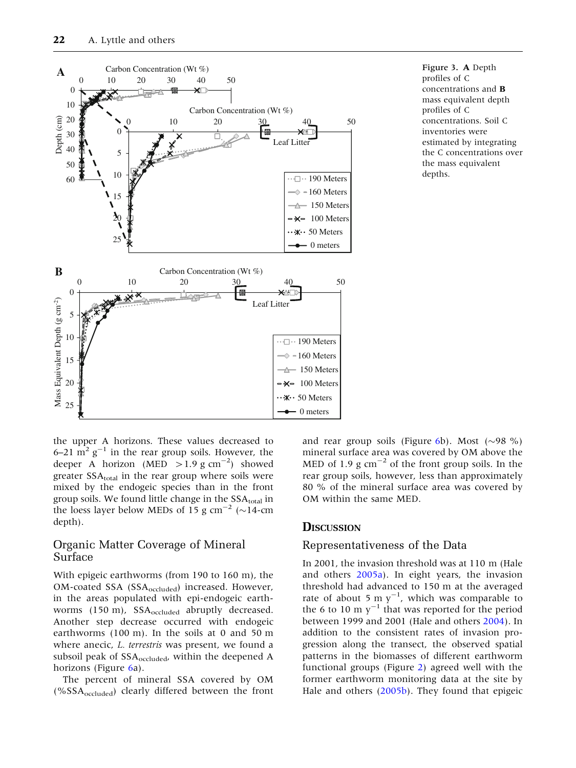<span id="page-6-0"></span>

Figure 3. A Depth profiles of C concentrations and B mass equivalent depth profiles of C concentrations. Soil C inventories were estimated by integrating the C concentrations over the mass equivalent depths.

the upper A horizons. These values decreased to 6–21 m<sup>2</sup> g<sup>-1</sup> in the rear group soils. However, the deeper A horizon (MED  $>1.9$  g cm<sup>-2</sup>) showed greater  $SSA<sub>total</sub>$  in the rear group where soils were mixed by the endogeic species than in the front group soils. We found little change in the  $SSA<sub>total</sub>$  in the loess layer below MEDs of 15 g cm<sup>-2</sup> ( $\sim$ 14-cm depth).

## Organic Matter Coverage of Mineral Surface

With epigeic earthworms (from 190 to 160 m), the OM-coated SSA (SSA<sub>occluded</sub>) increased. However, in the areas populated with epi-endogeic earthworms (150 m), SSA<sub>occluded</sub> abruptly decreased. Another step decrease occurred with endogeic earthworms (100 m). In the soils at 0 and 50 m where anecic, L. terrestris was present, we found a subsoil peak of  $SSA_{\text{occluded}}$ , within the deepened A horizons (Figure [6](#page-7-0)a).

The percent of mineral SSA covered by OM (%SSA<sub>occluded</sub>) clearly differed between the front and rear group soils (Figure [6](#page-7-0)b). Most  $(\sim 98 \%)$ mineral surface area was covered by OM above the MED of 1.9  $\text{g cm}^{-2}$  of the front group soils. In the rear group soils, however, less than approximately 80 % of the mineral surface area was covered by OM within the same MED.

## **DISCUSSION**

#### Representativeness of the Data

In 2001, the invasion threshold was at 110 m (Hale and others [2005a\)](#page-13-0). In eight years, the invasion threshold had advanced to 150 m at the averaged rate of about 5 m  $y^{-1}$ , which was comparable to the 6 to 10 m  $y^{-1}$  that was reported for the period between 1999 and 2001 (Hale and others [2004](#page-13-0)). In addition to the consistent rates of invasion progression along the transect, the observed spatial patterns in the biomasses of different earthworm functional groups (Figure [2](#page-5-0)) agreed well with the former earthworm monitoring data at the site by Hale and others [\(2005b\)](#page-13-0). They found that epigeic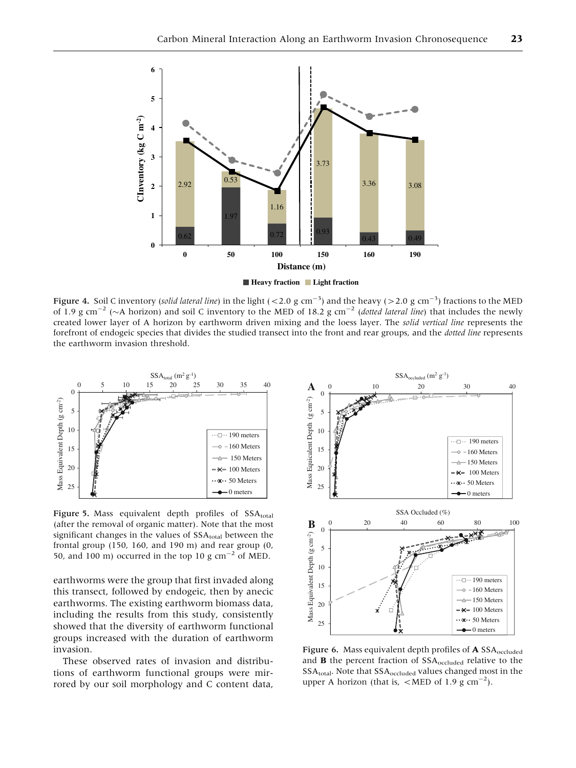<span id="page-7-0"></span>

Figure 4. Soil C inventory (solid lateral line) in the light (<2.0 g cm<sup>-3</sup>) and the heavy (>2.0 g cm<sup>-3</sup>) fractions to the MED of 1.9 g cm<sup>-2</sup> ( $\sim$ A horizon) and soil C inventory to the MED of 18.2 g cm<sup>-2</sup> (dotted lateral line) that includes the newly created lower layer of A horizon by earthworm driven mixing and the loess layer. The *solid vertical line* represents the forefront of endogeic species that divides the studied transect into the front and rear groups, and the dotted line represents the earthworm invasion threshold.



Figure 5. Mass equivalent depth profiles of  $SSA<sub>total</sub>$ (after the removal of organic matter). Note that the most significant changes in the values of  $SSA<sub>total</sub>$  between the frontal group (150, 160, and 190 m) and rear group (0, 50, and 100 m) occurred in the top 10 g  $\text{cm}^{-2}$  of MED.

earthworms were the group that first invaded along this transect, followed by endogeic, then by anecic earthworms. The existing earthworm biomass data, including the results from this study, consistently showed that the diversity of earthworm functional groups increased with the duration of earthworm invasion.

These observed rates of invasion and distributions of earthworm functional groups were mirrored by our soil morphology and C content data,



Figure 6. Mass equivalent depth profiles of A SSA<sub>occluded</sub> and **B** the percent fraction of SSA<sub>occluded</sub> relative to the  $\mathsf{SSA}_{\mathsf{total}}.$  Note that  $\mathsf{SSA}_{\mathsf{occluded}}$  values changed most in the upper A horizon (that is,  $\langle MED \space of \space 1.9 \space g \space cm^{-2} \rangle$ .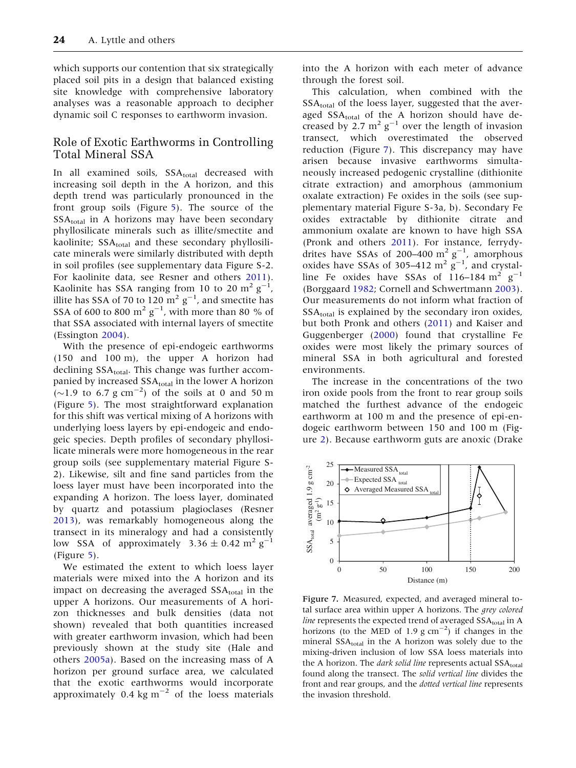which supports our contention that six strategically placed soil pits in a design that balanced existing site knowledge with comprehensive laboratory analyses was a reasonable approach to decipher dynamic soil C responses to earthworm invasion.

## Role of Exotic Earthworms in Controlling Total Mineral SSA

In all examined soils,  $SSA<sub>total</sub>$  decreased with increasing soil depth in the A horizon, and this depth trend was particularly pronounced in the front group soils (Figure [5\)](#page-7-0). The source of the  $SSA<sub>total</sub>$  in A horizons may have been secondary phyllosilicate minerals such as illite/smectite and kaolinite; SSAtotal and these secondary phyllosilicate minerals were similarly distributed with depth in soil profiles (see supplementary data Figure S-2. For kaolinite data, see Resner and others [2011](#page-13-0)). Kaolinite has SSA ranging from 10 to 20  $\mathrm{m^{2}\ g^{-1}}$ , illite has SSA of 70 to  $120 \text{ m}^2 \text{ g}^{-1}$ , and smectite has SSA of 600 to 800  $\mathrm{m}^2$  g<sup>-1</sup>, with more than 80 % of that SSA associated with internal layers of smectite (Essington [2004\)](#page-12-0).

With the presence of epi-endogeic earthworms (150 and 100 m), the upper A horizon had declining  $SSA_{total}$ . This change was further accompanied by increased  $SSA<sub>total</sub>$  in the lower A horizon  $(\sim]1.9$  to 6.7 g cm<sup>-2</sup>) of the soils at 0 and 50 m (Figure [5\)](#page-7-0). The most straightforward explanation for this shift was vertical mixing of A horizons with underlying loess layers by epi-endogeic and endogeic species. Depth profiles of secondary phyllosilicate minerals were more homogeneous in the rear group soils (see supplementary material Figure S-2). Likewise, silt and fine sand particles from the loess layer must have been incorporated into the expanding A horizon. The loess layer, dominated by quartz and potassium plagioclases (Resner [2013\)](#page-13-0), was remarkably homogeneous along the transect in its mineralogy and had a consistently low SSA of approximately 3.36  $\pm$  0.42 m<sup>2</sup> g<sup>-1</sup> (Figure [5\)](#page-7-0).

We estimated the extent to which loess layer materials were mixed into the A horizon and its impact on decreasing the averaged  $SSA<sub>total</sub>$  in the upper A horizons. Our measurements of A horizon thicknesses and bulk densities (data not shown) revealed that both quantities increased with greater earthworm invasion, which had been previously shown at the study site (Hale and others [2005a](#page-13-0)). Based on the increasing mass of A horizon per ground surface area, we calculated that the exotic earthworms would incorporate approximately 0.4 kg  $m^{-2}$  of the loess materials into the A horizon with each meter of advance through the forest soil.

This calculation, when combined with the  $SSA<sub>total</sub>$  of the loess layer, suggested that the averaged  $SSA<sub>total</sub>$  of the A horizon should have decreased by 2.7  $m^2$  g<sup>-1</sup> over the length of invasion transect, which overestimated the observed reduction (Figure 7). This discrepancy may have arisen because invasive earthworms simultaneously increased pedogenic crystalline (dithionite citrate extraction) and amorphous (ammonium oxalate extraction) Fe oxides in the soils (see supplementary material Figure S-3a, b). Secondary Fe oxides extractable by dithionite citrate and ammonium oxalate are known to have high SSA (Pronk and others [2011](#page-13-0)). For instance, ferrydydrites have SSAs of 200-400  $m^2$   $g^{-1}$ , amorphous oxides have SSAs of 305–412  $m^2$   $g^{-1}$ , and crystalline Fe oxides have SSAs of 116–184  $\text{m}^2$  g<sup>-1</sup> (Borggaard [1982;](#page-12-0) Cornell and Schwertmann [2003](#page-12-0)). Our measurements do not inform what fraction of  $SSA<sub>total</sub>$  is explained by the secondary iron oxides, but both Pronk and others ([2011\)](#page-13-0) and Kaiser and Guggenberger [\(2000](#page-13-0)) found that crystalline Fe oxides were most likely the primary sources of mineral SSA in both agricultural and forested environments.

The increase in the concentrations of the two iron oxide pools from the front to rear group soils matched the furthest advance of the endogeic earthworm at 100 m and the presence of epi-endogeic earthworm between 150 and 100 m (Figure [2\)](#page-5-0). Because earthworm guts are anoxic (Drake



Figure 7. Measured, expected, and averaged mineral total surface area within upper A horizons. The grey colored line represents the expected trend of averaged  $SSA<sub>total</sub>$  in A horizons (to the MED of  $1.9 \text{ g cm}^{-2}$ ) if changes in the mineral  $SSA<sub>total</sub>$  in the A horizon was solely due to the mixing-driven inclusion of low SSA loess materials into the A horizon. The *dark solid line* represents actual  $SSA_{total}$ found along the transect. The solid vertical line divides the front and rear groups, and the dotted vertical line represents the invasion threshold.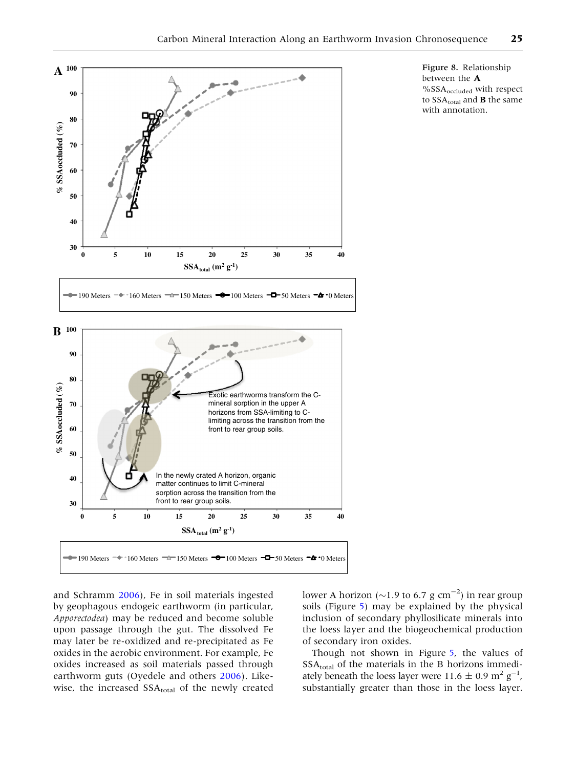<span id="page-9-0"></span>

Figure 8. Relationship between the A %SSA<sub>occluded</sub> with respect to  $SSA<sub>total</sub>$  and **B** the same with annotation.

and Schramm [2006](#page-12-0)), Fe in soil materials ingested by geophagous endogeic earthworm (in particular, Apporectodea) may be reduced and become soluble upon passage through the gut. The dissolved Fe may later be re-oxidized and re-precipitated as Fe oxides in the aerobic environment. For example, Fe oxides increased as soil materials passed through earthworm guts (Oyedele and others [2006\)](#page-13-0). Likewise, the increased  $SSA<sub>total</sub>$  of the newly created

lower A horizon (~1.9 to 6.7 g  $\rm cm^{-2})$  in rear group soils (Figure [5\)](#page-7-0) may be explained by the physical inclusion of secondary phyllosilicate minerals into the loess layer and the biogeochemical production of secondary iron oxides.

Though not shown in Figure [5](#page-7-0), the values of  $SSA<sub>total</sub>$  of the materials in the B horizons immediately beneath the loess layer were  $11.6 \pm 0.9$  m<sup>2</sup> g<sup>-1</sup>, substantially greater than those in the loess layer.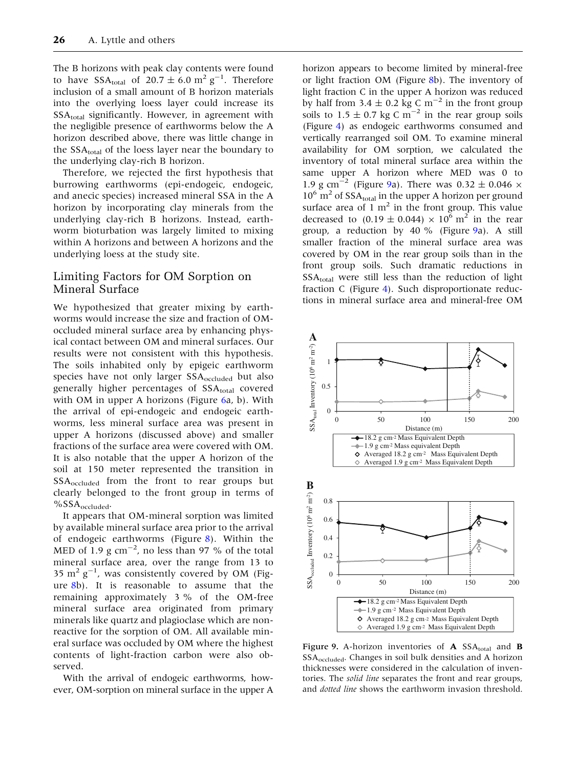<span id="page-10-0"></span>The B horizons with peak clay contents were found to have  $SSA_{\text{total}}$  of  $20.7 \pm 6.0$  m<sup>2</sup> g<sup>-1</sup>. Therefore inclusion of a small amount of B horizon materials into the overlying loess layer could increase its  $SSA_{total}$  significantly. However, in agreement with the negligible presence of earthworms below the A horizon described above, there was little change in the  $SSA<sub>total</sub>$  of the loess layer near the boundary to the underlying clay-rich B horizon.

Therefore, we rejected the first hypothesis that burrowing earthworms (epi-endogeic, endogeic, and anecic species) increased mineral SSA in the A horizon by incorporating clay minerals from the underlying clay-rich B horizons. Instead, earthworm bioturbation was largely limited to mixing within A horizons and between A horizons and the underlying loess at the study site.

### Limiting Factors for OM Sorption on Mineral Surface

We hypothesized that greater mixing by earthworms would increase the size and fraction of OMoccluded mineral surface area by enhancing physical contact between OM and mineral surfaces. Our results were not consistent with this hypothesis. The soils inhabited only by epigeic earthworm species have not only larger  $SSA_{occluded}$  but also generally higher percentages of SSAtotal covered with OM in upper A horizons (Figure [6](#page-7-0)a, b). With the arrival of epi-endogeic and endogeic earthworms, less mineral surface area was present in upper A horizons (discussed above) and smaller fractions of the surface area were covered with OM. It is also notable that the upper A horizon of the soil at 150 meter represented the transition in SSA<sub>occluded</sub> from the front to rear groups but clearly belonged to the front group in terms of  $%$ SSA<sub>occluded</sub>.

It appears that OM-mineral sorption was limited by available mineral surface area prior to the arrival of endogeic earthworms (Figure [8\)](#page-9-0). Within the MED of  $1.9 \text{ g cm}^{-2}$ , no less than 97 % of the total mineral surface area, over the range from 13 to 35  $\mathrm{m}^2$  g<sup>-1</sup>, was consistently covered by OM (Figure [8b](#page-9-0)). It is reasonable to assume that the remaining approximately 3 % of the OM-free mineral surface area originated from primary minerals like quartz and plagioclase which are nonreactive for the sorption of OM. All available mineral surface was occluded by OM where the highest contents of light-fraction carbon were also observed.

With the arrival of endogeic earthworms, however, OM-sorption on mineral surface in the upper A

horizon appears to become limited by mineral-free or light fraction OM (Figure [8](#page-9-0)b). The inventory of light fraction C in the upper A horizon was reduced by half from 3.4  $\pm$  0.2 kg C m<sup>-2</sup> in the front group soils to  $1.5 \pm 0.7$  kg C m<sup>-2</sup> in the rear group soils (Figure [4\)](#page-7-0) as endogeic earthworms consumed and vertically rearranged soil OM. To examine mineral availability for OM sorption, we calculated the inventory of total mineral surface area within the same upper A horizon where MED was 0 to 1.9 g cm<sup>-2</sup> (Figure 9a). There was  $0.32 \pm 0.046 \times$  $10^6$  m<sup>2</sup> of SSA<sub>total</sub> in the upper A horizon per ground surface area of  $1 \text{ m}^2$  in the front group. This value decreased to  $(0.19 \pm 0.044) \times 10^6$  m<sup>2</sup> in the rear group, a reduction by 40 % (Figure 9a). A still smaller fraction of the mineral surface area was covered by OM in the rear group soils than in the front group soils. Such dramatic reductions in SSAtotal were still less than the reduction of light fraction C (Figure [4\)](#page-7-0). Such disproportionate reductions in mineral surface area and mineral-free OM



Figure 9. A-horizon inventories of  $A$  SSA<sub>total</sub> and **B** SSAoccluded. Changes in soil bulk densities and A horizon thicknesses were considered in the calculation of inventories. The solid line separates the front and rear groups, and dotted line shows the earthworm invasion threshold.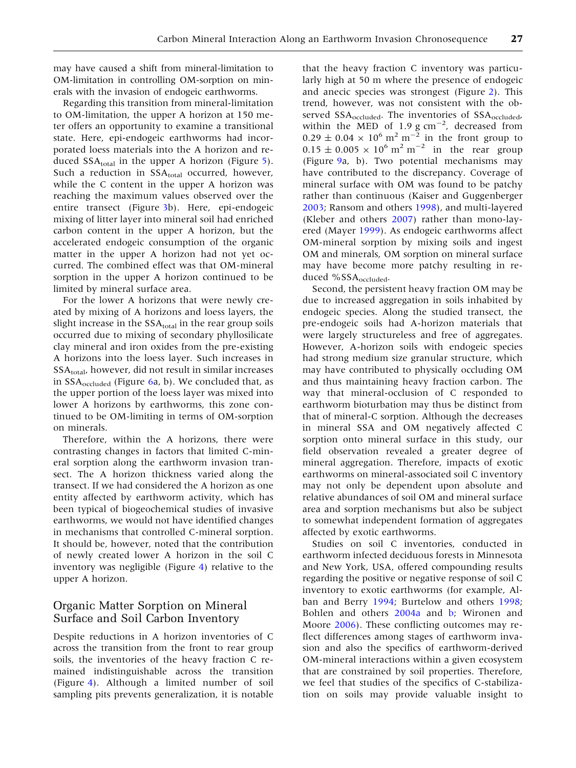may have caused a shift from mineral-limitation to OM-limitation in controlling OM-sorption on minerals with the invasion of endogeic earthworms.

Regarding this transition from mineral-limitation to OM-limitation, the upper A horizon at 150 meter offers an opportunity to examine a transitional state. Here, epi-endogeic earthworms had incorporated loess materials into the A horizon and reduced  $SSA_{total}$  in the upper A horizon (Figure [5](#page-7-0)). Such a reduction in  $SSA<sub>total</sub>$  occurred, however, while the C content in the upper A horizon was reaching the maximum values observed over the entire transect (Figure [3](#page-6-0)b). Here, epi-endogeic mixing of litter layer into mineral soil had enriched carbon content in the upper A horizon, but the accelerated endogeic consumption of the organic matter in the upper A horizon had not yet occurred. The combined effect was that OM-mineral sorption in the upper A horizon continued to be limited by mineral surface area.

For the lower A horizons that were newly created by mixing of A horizons and loess layers, the slight increase in the  $SSA<sub>total</sub>$  in the rear group soils occurred due to mixing of secondary phyllosilicate clay mineral and iron oxides from the pre-existing A horizons into the loess layer. Such increases in  $SSA<sub>total</sub>$ , however, did not result in similar increases in SSAoccluded (Figure [6](#page-7-0)a, b). We concluded that, as the upper portion of the loess layer was mixed into lower A horizons by earthworms, this zone continued to be OM-limiting in terms of OM-sorption on minerals.

Therefore, within the A horizons, there were contrasting changes in factors that limited C-mineral sorption along the earthworm invasion transect. The A horizon thickness varied along the transect. If we had considered the A horizon as one entity affected by earthworm activity, which has been typical of biogeochemical studies of invasive earthworms, we would not have identified changes in mechanisms that controlled C-mineral sorption. It should be, however, noted that the contribution of newly created lower A horizon in the soil C inventory was negligible (Figure [4](#page-7-0)) relative to the upper A horizon.

# Organic Matter Sorption on Mineral Surface and Soil Carbon Inventory

Despite reductions in A horizon inventories of C across the transition from the front to rear group soils, the inventories of the heavy fraction C remained indistinguishable across the transition (Figure [4\)](#page-7-0). Although a limited number of soil sampling pits prevents generalization, it is notable

that the heavy fraction C inventory was particularly high at 50 m where the presence of endogeic and anecic species was strongest (Figure [2](#page-5-0)). This trend, however, was not consistent with the observed  $SSA_{\text{occluded}}$ . The inventories of  $SSA_{\text{occluded}}$ within the MED of 1.9  $\text{g cm}^{-2}$ , decreased from  $0.29 \pm 0.04 \times 10^6$  m<sup>2</sup> m<sup>-2</sup> in the front group to  $0.15 \pm 0.005 \times 10^6 \text{ m}^2 \text{ m}^{-2}$  in the rear group (Figure [9a](#page-10-0), b). Two potential mechanisms may have contributed to the discrepancy. Coverage of mineral surface with OM was found to be patchy rather than continuous (Kaiser and Guggenberger [2003;](#page-13-0) Ransom and others [1998](#page-13-0)), and multi-layered (Kleber and others [2007\)](#page-13-0) rather than mono-layered (Mayer [1999](#page-13-0)). As endogeic earthworms affect OM-mineral sorption by mixing soils and ingest OM and minerals, OM sorption on mineral surface may have become more patchy resulting in reduced %SSAoccluded.

Second, the persistent heavy fraction OM may be due to increased aggregation in soils inhabited by endogeic species. Along the studied transect, the pre-endogeic soils had A-horizon materials that were largely structureless and free of aggregates. However, A-horizon soils with endogeic species had strong medium size granular structure, which may have contributed to physically occluding OM and thus maintaining heavy fraction carbon. The way that mineral-occlusion of C responded to earthworm bioturbation may thus be distinct from that of mineral-C sorption. Although the decreases in mineral SSA and OM negatively affected C sorption onto mineral surface in this study, our field observation revealed a greater degree of mineral aggregation. Therefore, impacts of exotic earthworms on mineral-associated soil C inventory may not only be dependent upon absolute and relative abundances of soil OM and mineral surface area and sorption mechanisms but also be subject to somewhat independent formation of aggregates affected by exotic earthworms.

Studies on soil C inventories, conducted in earthworm infected deciduous forests in Minnesota and New York, USA, offered compounding results regarding the positive or negative response of soil C inventory to exotic earthworms (for example, Alban and Berry [1994](#page-12-0); Burtelow and others [1998](#page-12-0); Bohlen and others [2004a](#page-12-0) and [b](#page-12-0); Wironen and Moore [2006](#page-13-0)). These conflicting outcomes may reflect differences among stages of earthworm invasion and also the specifics of earthworm-derived OM-mineral interactions within a given ecosystem that are constrained by soil properties. Therefore, we feel that studies of the specifics of C-stabilization on soils may provide valuable insight to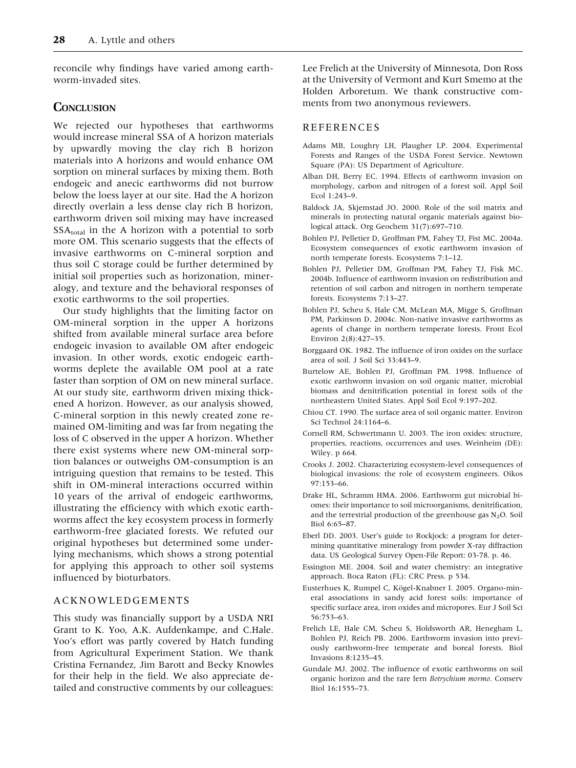<span id="page-12-0"></span>reconcile why findings have varied among earthworm-invaded sites.

#### **CONCLUSION**

We rejected our hypotheses that earthworms would increase mineral SSA of A horizon materials by upwardly moving the clay rich B horizon materials into A horizons and would enhance OM sorption on mineral surfaces by mixing them. Both endogeic and anecic earthworms did not burrow below the loess layer at our site. Had the A horizon directly overlain a less dense clay rich B horizon, earthworm driven soil mixing may have increased SSA<sub>total</sub> in the A horizon with a potential to sorb more OM. This scenario suggests that the effects of invasive earthworms on C-mineral sorption and thus soil C storage could be further determined by initial soil properties such as horizonation, mineralogy, and texture and the behavioral responses of exotic earthworms to the soil properties.

Our study highlights that the limiting factor on OM-mineral sorption in the upper A horizons shifted from available mineral surface area before endogeic invasion to available OM after endogeic invasion. In other words, exotic endogeic earthworms deplete the available OM pool at a rate faster than sorption of OM on new mineral surface. At our study site, earthworm driven mixing thickened A horizon. However, as our analysis showed, C-mineral sorption in this newly created zone remained OM-limiting and was far from negating the loss of C observed in the upper A horizon. Whether there exist systems where new OM-mineral sorption balances or outweighs OM-consumption is an intriguing question that remains to be tested. This shift in OM-mineral interactions occurred within 10 years of the arrival of endogeic earthworms, illustrating the efficiency with which exotic earthworms affect the key ecosystem process in formerly earthworm-free glaciated forests. We refuted our original hypotheses but determined some underlying mechanisms, which shows a strong potential for applying this approach to other soil systems influenced by bioturbators.

#### ACKNOWLEDGEMENTS

This study was financially support by a USDA NRI Grant to K. Yoo, A.K. Aufdenkampe, and C.Hale. Yoo's effort was partly covered by Hatch funding from Agricultural Experiment Station. We thank Cristina Fernandez, Jim Barott and Becky Knowles for their help in the field. We also appreciate detailed and constructive comments by our colleagues:

Lee Frelich at the University of Minnesota, Don Ross at the University of Vermont and Kurt Smemo at the Holden Arboretum. We thank constructive comments from two anonymous reviewers.

#### REFERENCES

- Adams MB, Loughry LH, Plaugher LP. 2004. Experimental Forests and Ranges of the USDA Forest Service. Newtown Square (PA): US Department of Agriculture.
- Alban DH, Berry EC. 1994. Effects of earthworm invasion on morphology, carbon and nitrogen of a forest soil. Appl Soil Ecol 1:243–9.
- Baldock JA, Skjemstad JO. 2000. Role of the soil matrix and minerals in protecting natural organic materials against biological attack. Org Geochem 31(7):697–710.
- Bohlen PJ, Pelletier D, Groffman PM, Fahey TJ, Fist MC. 2004a. Ecosystem consequences of exotic earthworm invasion of north temperate forests. Ecosystems 7:1–12.
- Bohlen PJ, Pelletier DM, Groffman PM, Fahey TJ, Fisk MC. 2004b. Influence of earthworm invasion on redistribution and retention of soil carbon and nitrogen in northern temperate forests. Ecosystems 7:13–27.
- Bohlen PJ, Scheu S, Hale CM, McLean MA, Migge S, Groffman PM, Parkinson D. 2004c. Non-native invasive earthworms as agents of change in northern temperate forests. Front Ecol Environ 2(8):427–35.
- Borggaard OK. 1982. The influence of iron oxides on the surface area of soil. J Soil Sci 33:443–9.
- Burtelow AE, Bohlen PJ, Groffman PM. 1998. Influence of exotic earthworm invasion on soil organic matter, microbial biomass and denitrification potential in forest soils of the northeastern United States. Appl Soil Ecol 9:197–202.
- Chiou CT. 1990. The surface area of soil organic matter. Environ Sci Technol 24:1164–6.
- Cornell RM, Schwertmann U. 2003. The iron oxides: structure, properties, reactions, occurrences and uses. Weinheim (DE): Wiley. p 664.
- Crooks J. 2002. Characterizing ecosystem-level consequences of biological invasions: the role of ecosystem engineers. Oikos 97:153–66.
- Drake HL, Schramm HMA. 2006. Earthworm gut microbial biomes: their importance to soil microorganisms, denitrification, and the terrestrial production of the greenhouse gas  $N<sub>2</sub>O$ . Soil Biol 6:65–87.
- Eberl DD. 2003. User's guide to Rockjock: a program for determining quantitative mineralogy from powder X-ray diffraction data. US Geological Survey Open-File Report: 03-78. p. 46.
- Essington ME. 2004. Soil and water chemistry: an integrative approach. Boca Raton (FL): CRC Press. p 534.
- Eusterhues K, Rumpel C, Kögel-Knabner I. 2005. Organo-mineral associations in sandy acid forest soils: importance of specific surface area, iron oxides and micropores. Eur J Soil Sci 56:753–63.
- Frelich LE, Hale CM, Scheu S, Holdsworth AR, Henegham L, Bohlen PJ, Reich PB. 2006. Earthworm invasion into previously earthworm-free temperate and boreal forests. Biol Invasions 8:1235–45.
- Gundale MJ. 2002. The influence of exotic earthworms on soil organic horizon and the rare fern Botrychium mormo. Conserv Biol 16:1555–73.